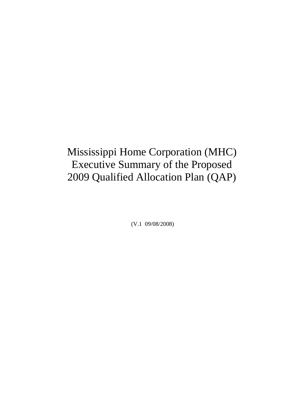Mississippi Home Corporation (MHC) Executive Summary of the Proposed 2009 Qualified Allocation Plan (QAP)

(V.1 09/08/2008)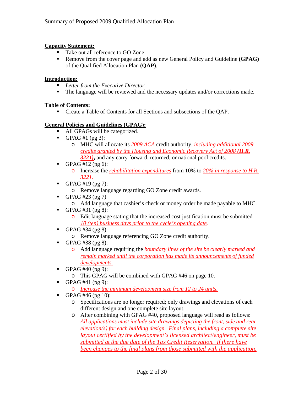#### **Capacity Statement:**

- Take out all reference to GO Zone.
- Remove from the cover page and add as new General Policy and Guideline **(GPAG)** of the Qualified Allocation Plan **(QAP)**.

#### **Introduction:**

- *Letter from the Executive Director.*
- The language will be reviewed and the necessary updates and/or corrections made.

#### **Table of Contents:**

Create a Table of Contents for all Sections and subsections of the QAP.

#### **General Policies and Guidelines (GPAG):**

- All GPAGs will be categorized.
- GPAG #1 (pg 3):
	- o MHC will allocate its *2009 ACA* credit authority, *including additional 2009 credits granted by the Housing and Economic Recovery Act of 2008 (H.R. 3221)***,** and any carry forward, returned, or national pool credits.
- GPAG #12 (pg 6):
	- o Increase the *rehabilitation expenditures* from 10% to *20% in response to H.R. 3221.*
- GPAG #19 (pg 7):
	- o Remove language regarding GO Zone credit awards.
- GPAG #23 (pg 7)
	- o Add language that cashier's check or money order be made payable to MHC.
- GPAG #31 (pg 8):
	- o Edit language stating that the increased cost justification must be submitted *10 (ten) business days prior to the cycle's opening date.*
- GPAG #34 (pg 8):
	- o Remove language referencing GO Zone credit authority.
- GPAG #38 (pg 8):
	- o Add language requiring the *boundary lines of the site be clearly marked and remain marked until the corporation has made its announcements of funded developments.*
- GPAG #40 (pg 9):
	- o This GPAG will be combined with GPAG #46 on page 10.
- GPAG #41 (pg 9):
	- o *Increase the minimum development size from 12 to 24 units.*
- GPAG #46 (pg 10):
	- o Specifications are no longer required; only drawings and elevations of each different design and one complete site layout.
	- o After combining with GPAG #40, proposed language will read as follows: *All applications must include site drawings depicting the front, side and rear elevation(s) for each building design. Final plans, including a complete site layout certified by the development's licensed architect/engineer, must be submitted at the due date of the Tax Credit Reservation. If there have been changes to the final plans from those submitted with the application,*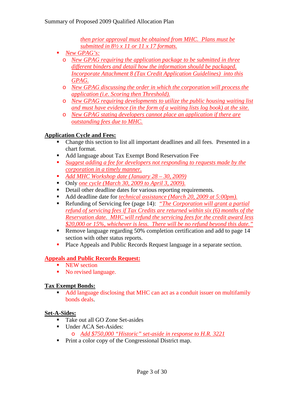*then prior approval must be obtained from MHC. Plans must be submitted in 8½ x 11 or 11 x 17 formats.*

- *New GPAG's:*
	- o *New GPAG requiring the application package to be submitted in three different binders and detail how the information should be packaged. Incorporate Attachment 8 (Tax Credit Application Guidelines) into this GPAG.*
	- o *New GPAG discussing the order in which the corporation will process the application (i.e. Scoring then Threshold).*
	- o *New GPAG requiring developments to utilize the public housing waiting list and must have evidence (in the form of a waiting lists log book) at the site.*
	- o *New GPAG stating developers cannot place an application if there are outstanding fees due to MHC.*

# **Application Cycle and Fees:**

- Change this section to list all important deadlines and all fees. Presented in a chart format.
- Add language about Tax Exempt Bond Reservation Fee
- *Suggest adding a fee for developers not responding to requests made by the corporation in a timely manner.*
- *Add MHC Workshop date (January 28 30, 2009)*
- Only *one cycle (March 30, 2009 to April 3, 2009)*.
- Detail other deadline dates for various reporting requirements.
- Add deadline date for *technical assistance (March 20, 2009 at 5:00pm).*
- Refunding of Servicing fee (page 14): *"The Corporation will grant a partial refund of servicing fees if Tax Credits are returned within six (6) months of the Reservation date. MHC will refund the servicing fees for the credit award less \$20,000 or 15%, whichever is less. There will be no refund beyond this date."*
- Remove language regarding 50% completion certification and add to page 14 section with other status reports.
- **Place Appeals and Public Records Request language in a separate section.**

## **Appeals and Public Records Request:**

- **NEW** section
- No revised language.

## **Tax Exempt Bonds:**

 Add language disclosing that MHC can act as a conduit issuer on multifamily bonds deals.

#### **Set-A-Sides:**

- Take out all GO Zone Set-asides
- Under ACA Set-Asides:

```
o Add $750,000 "Historic" set-aside in response to H.R. 3221
```
**Print a color copy of the Congressional District map.**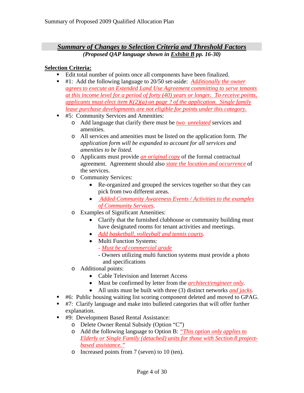# *Summary of Changes to Selection Criteria and Threshold Factors (Proposed QAP language shown in Exhibit B pp. 16-30)*

## **Selection Criteria:**

- Edit total number of points once all components have been finalized.
- #1: Add the following language to 20/50 set-aside: *Additionally the owner agrees to execute an Extended Land Use Agreement committing to serve tenants at this income level for a period of forty (40) years or longer. To receive points, applicants must elect item K(2)(a) on page ? of the application. Single family lease purchase developments are not eligible for points under this category.*
- #5: Community Services and Amenities:
	- o Add language that clarify there must be *two unrelated* services and amenities.
	- o All services and amenities must be listed on the application form. *The application form will be expanded to account for all services and amenities to be listed.*
	- o Applicants must provide *an original copy* of the formal contractual agreement. Agreement should also *state the location and occurrence* of the services.
	- o Community Services:
		- Re-organized and grouped the services together so that they can pick from two different areas.
		- • *Added Community Awareness Events / Activities to the examples of Community Services*.
	- o Examples of Significant Amenities:
		- Clarify that the furnished clubhouse or community building must have designated rooms for tenant activities and meetings.
		- *Add basketball, volleyball and tennis courts*.
		- Multi Function Systems:
			- *Must be of commercial grade*
			- Owners utilizing multi function systems must provide a photo and specifications
	- o Additional points:
		- Cable Television and Internet Access
		- Must be confirmed by letter from the *architect/engineer only*.
		- All units must be built with three (3) distinct networks *and jacks*.
- #6: Public housing waiting list scoring component deleted and moved to GPAG.
- #7: Clarify language and make into bulleted categories that will offer further explanation.
- #9: Development Based Rental Assistance:
	- o Delete Owner Rental Subsidy (Option "C")
	- o Add the following language to Option B: *"This option only applies to Elderly or Single Family (detached) units for those with Section 8 projectbased assistance."*
	- o Increased points from 7 (seven) to 10 (ten).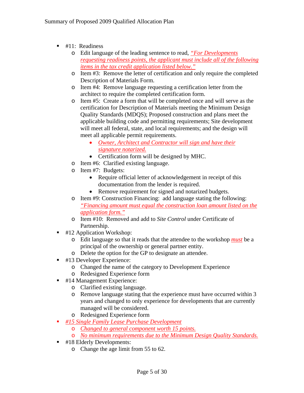- $\blacksquare$  #11: Readiness
	- o Edit language of the leading sentence to read, *"For Developments requesting readiness points, the applicant must include all of the following items in the tax credit application listed below."*
	- o Item #3: Remove the letter of certification and only require the completed Description of Materials Form.
	- o Item #4: Remove language requesting a certification letter from the architect to require the completed certification form.
	- o Item #5: Create a form that will be completed once and will serve as the certification for Description of Materials meeting the Minimum Design Quality Standards (MDQS); Proposed construction and plans meet the applicable building code and permitting requirements; Site development will meet all federal, state, and local requirements; and the design will meet all applicable permit requirements.
		- *Owner, Architect and Contractor will sign and have their signature notarized.*
		- Certification form will be designed by MHC.
	- o Item #6: Clarified existing language.
	- o Item #7: Budgets:
		- Require official letter of acknowledgement in receipt of this documentation from the lender is required.
		- Remove requirement for signed and notarized budgets.
	- o Item #9: Construction Financing: add language stating the following: *"Financing amount must equal the construction loan amount listed on the application form."*
	- o Item #10: Removed and add to *Site Control* under Certificate of Partnership.
- #12 Application Workshop:
	- o Edit language so that it reads that the attendee to the workshop *must* be a principal of the ownership or general partner entity.
	- o Delete the option for the GP to designate an attendee.
- #13 Developer Experience:
	- o Changed the name of the category to Development Experience
	- o Redesigned Experience form
- #14 Management Experience:
	- o Clarified existing language.
	- o Remove language stating that the experience must have occurred within 3 years and changed to only experience for developments that are currently managed will be considered.
	- o Redesigned Experience form
- *#15 Single Family Lease Purchase Development*
	- o *Changed to general component worth 15 points.*
	- o *No minimum requirements due to the Minimum Design Quality Standards.*
- #18 Elderly Developments:
	- o Change the age limit from 55 to 62.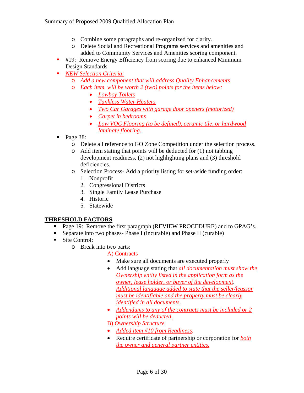- o Combine some paragraphs and re-organized for clarity.
- o Delete Social and Recreational Programs services and amenities and added to Community Services and Amenities scoring component.
- #19: Remove Energy Efficiency from scoring due to enhanced Minimum Design Standards
- *NEW Selection Criteria:*
	- o *Add a new component that will address Quality Enhancements*
	- o *Each item will be worth 2 (two) points for the items below:*
		- *Lowboy Toilets*
		- *Tankless Water Heaters*
		- *Two Car Garages with garage door openers (motorized)*
		- *Carpet in bedrooms*
		- *Low VOC Flooring (to be defined), ceramic tile, or hardwood laminate flooring.*
- Page 38:
	- o Delete all reference to GO Zone Competition under the selection process.
	- o Add item stating that points will be deducted for (1) not tabbing development readiness, (2) not highlighting plans and (3) threshold deficiencies.
	- o Selection Process- Add a priority listing for set-aside funding order:
		- 1. Nonprofit
		- 2. Congressional Districts
		- 3. Single Family Lease Purchase
		- 4. Historic
		- 5. Statewide

## **THRESHOLD FACTORS**

- **Page 19: Remove the first paragraph (REVIEW PROCEDURE) and to GPAG's.**
- Separate into two phases- Phase I (incurable) and Phase II (curable)
- Site Control:
	- o Break into two parts:
		- A) Contracts
		- Make sure all documents are executed properly
		- Add language stating that *all documentation must show the Ownership entity listed in the application form as the owner, lease holder, or buyer of the development*. *Additional language added to state that the seller/leassor must be identifiable and the property must be clearly identified in all documents*.
		- *Addendums to any of the contracts must be included or 2 points will be deducted.*
		- B) *Ownership Structure*
		- *Added item #10 from Readiness*.
		- Require certificate of partnership or corporation for *both the owner and general partner entities.*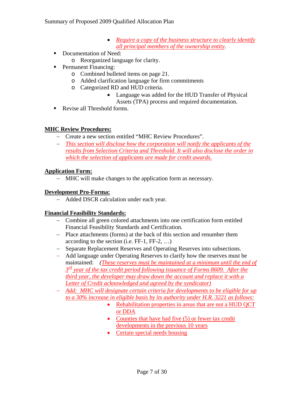- *Require a copy of the business structure to clearly identify all principal members of the ownership entity*.
- Documentation of Need:
	- o Reorganized language for clarity.
- **Permanent Financing:** 
	- o Combined bulleted items on page 21.
	- o Added clarification language for firm commitments
	- o Categorized RD and HUD criteria.
		- Language was added for the HUD Transfer of Physical Assets (TPA) process and required documentation.
- Revise all Threshold forms.

## **MHC Review Procedures:**

- − Create a new section entitled "MHC Review Procedures".
- − *This section will disclose how the corporation will notify the applicants of the results from Selection Criteria and Threshold. It will also disclose the order in which the selection of applicants are made for credit awards.*

## **Application Form:**

MHC will make changes to the application form as necessary.

## **Development Pro-Forma:**

− Added DSCR calculation under each year.

#### **Financial Feasibility Standards:**

- − Combine all green colored attachments into one certification form entitled Financial Feasibility Standards and Certification.
- − Place attachments (forms) at the back of this section and renumber them according to the section (i.e. FF-1, FF-2, …)
- − Separate Replacement Reserves and Operating Reserves into subsections.
- − Add language under Operating Reserves to clarify how the reserves must be maintained: *(These reserves must be maintained at a minimum until the end of 3rd year of the tax credit period following issuance of Forms 8609. After the third year, the developer may draw down the account and replace it with a Letter of Credit acknowledged and agreed by the syndicator)*
- − *Add: MHC will designate certain criteria for developments to be eligible for up to a 30% increase in eligible basis by its authority under H.R. 3221 as follows:*
	- Rehabilitation properties in areas that are not a HUD QCT or DDA
	- Counties that have had five (5) or fewer tax credit developments in the previous 10 years
	- Certain special needs housing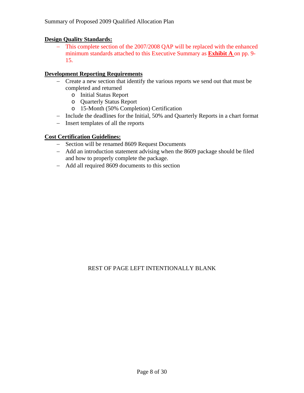#### **Design Quality Standards:**

This complete section of the 2007/2008 QAP will be replaced with the enhanced minimum standards attached to this Executive Summary as **Exhibit A** on pp. 9- 15.

#### **Development Reporting Requirements**

- − Create a new section that identify the various reports we send out that must be completed and returned
	- o Initial Status Report
	- o Quarterly Status Report
	- o 15-Month (50% Completion) Certification
- − Include the deadlines for the Initial, 50% and Quarterly Reports in a chart format
- − Insert templates of all the reports

## **Cost Certification Guidelines:**

- − Section will be renamed 8609 Request Documents
- − Add an introduction statement advising when the 8609 package should be filed and how to properly complete the package.
- − Add all required 8609 documents to this section

## REST OF PAGE LEFT INTENTIONALLY BLANK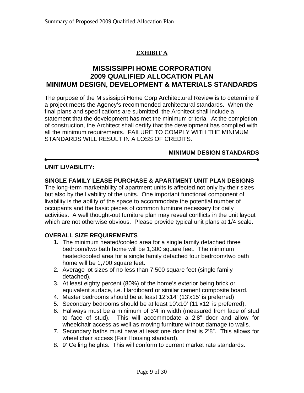# **EXHIBIT A**

# **MISSISSIPPI HOME CORPORATION 2009 QUALIFIED ALLOCATION PLAN MINIMUM DESIGN, DEVELOPMENT & MATERIALS STANDARDS**

The purpose of the Mississippi Home Corp Architectural Review is to determine if a project meets the Agency's recommended architectural standards. When the final plans and specifications are submitted, the Architect shall include a statement that the development has met the minimum criteria. At the completion of construction, the Architect shall certify that the development has complied with all the minimum requirements. FAILURE TO COMPLY WITH THE MINIMUM STANDARDS WILL RESULT IN A LOSS OF CREDITS.

## **MINIMUM DESIGN STANDARDS**

## **UNIT LIVABILITY:**

## **SINGLE FAMILY LEASE PURCHASE & APARTMENT UNIT PLAN DESIGNS**

The long-term marketability of apartment units is affected not only by their sizes but also by the livability of the units.One important functional component of livability is the ability of the space to accommodate the potential number of occupants and the basic pieces of common furniture necessary for daily activities. A well thought-out furniture plan may reveal conflicts in the unit layout which are not otherwise obvious. Please provide typical unit plans at 1/4 scale.

## **OVERALL SIZE REQUIREMENTS**

- **1.** The minimum heated/cooled area for a single family detached three bedroom/two bath home will be 1,300 square feet. The minimum heated/cooled area for a single family detached four bedroom/two bath home will be 1,700 square feet.
- 2. Average lot sizes of no less than 7,500 square feet (single family detached).
- 3. At least eighty percent (80%) of the home's exterior being brick or equivalent surface, i.e. Hardiboard or similar cement composite board.
- 4. Master bedrooms should be at least 12'x14' (13'x15' is preferred)
- 5. Secondary bedrooms should be at least 10'x10' (11'x12' is preferred).
- 6. Hallways must be a minimum of 3'4 in width (measured from face of stud to face of stud). This will accommodate a 2'8" door and allow for wheelchair access as well as moving furniture without damage to walls.
- 7. Secondary baths must have at least one door that is 2'8". This allows for wheel chair access (Fair Housing standard).
- 8. 9' Ceiling heights. This will conform to current market rate standards.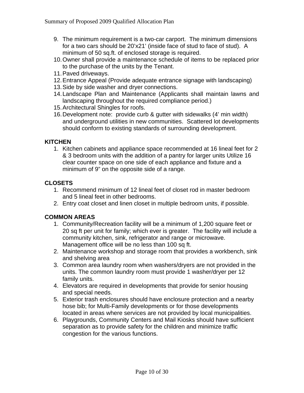- 9. The minimum requirement is a two-car carport. The minimum dimensions for a two cars should be 20'x21' (inside face of stud to face of stud). A minimum of 50 sq.ft. of enclosed storage is required.
- 10. Owner shall provide a maintenance schedule of items to be replaced prior to the purchase of the units by the Tenant.
- 11. Paved driveways.
- 12. Entrance Appeal (Provide adequate entrance signage with landscaping)
- 13. Side by side washer and dryer connections.
- 14. Landscape Plan and Maintenance (Applicants shall maintain lawns and landscaping throughout the required compliance period.)
- 15. Architectural Shingles for roofs.
- 16. Development note: provide curb & gutter with sidewalks (4' min width) and underground utilities in new communities. Scattered lot developments should conform to existing standards of surrounding development.

## **KITCHEN**

1. Kitchen cabinets and appliance space recommended at 16 lineal feet for 2 & 3 bedroom units with the addition of a pantry for larger units Utilize 16 clear counter space on one side of each appliance and fixture and a minimum of 9" on the opposite side of a range.

# **CLOSETS**

- 1. Recommend minimum of 12 lineal feet of closet rod in master bedroom and 5 lineal feet in other bedrooms.
- 2. Entry coat closet and linen closet in multiple bedroom units, if possible.

## **COMMON AREAS**

- 1. Community/Recreation facility will be a minimum of 1,200 square feet or 20 sq ft per unit for family; which ever is greater. The facility will include a community kitchen, sink, refrigerator and range or microwave. Management office will be no less than 100 sq ft.
- 2. Maintenance workshop and storage room that provides a workbench, sink and shelving area
- 3. Common area laundry room when washers/dryers are not provided in the units. The common laundry room must provide 1 washer/dryer per 12 family units.
- 4. Elevators are required in developments that provide for senior housing and special needs.
- 5. Exterior trash enclosures should have enclosure protection and a nearby hose bib; for Multi-Family developments or for those developments located in areas where services are not provided by local municipalities.
- 6. Playgrounds, Community Centers and Mail Kiosks should have sufficient separation as to provide safety for the children and minimize traffic congestion for the various functions.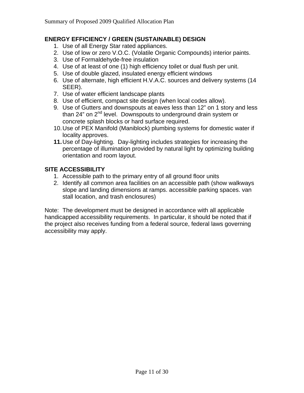# **ENERGY EFFICIENCY / GREEN (SUSTAINABLE) DESIGN**

- 1. Use of all Energy Star rated appliances.
- 2. Use of low or zero V.O.C. (Volatile Organic Compounds) interior paints.
- 3. Use of Formaldehyde-free insulation
- 4. Use of at least of one (1) high efficiency toilet or dual flush per unit.
- 5. Use of double glazed, insulated energy efficient windows
- 6. Use of alternate, high efficient H.V.A.C. sources and delivery systems (14 SEER).
- 7. Use of water efficient landscape plants
- 8. Use of efficient, compact site design (when local codes allow).
- 9. Use of Gutters and downspouts at eaves less than 12" on 1 story and less than 24" on  $2<sup>nd</sup>$  level. Downspouts to underground drain system or concrete splash blocks or hard surface required.
- 10. Use of PEX Manifold (Maniblock) plumbing systems for domestic water if locality approves.
- **11.** Use of Day-lighting. Day-lighting includes strategies for increasing the percentage of illumination provided by natural light by optimizing building orientation and room layout.

# **SITE ACCESSIBILITY**

- 1. Accessible path to the primary entry of all ground floor units
- 2. Identify all common area facilities on an accessible path (show walkways slope and landing dimensions at ramps. accessible parking spaces. van stall location, and trash enclosures)

Note: The development must be designed in accordance with all applicable handicapped accessibility requirements. In particular, it should be noted that if the project also receives funding from a federal source, federal laws governing accessibility may apply.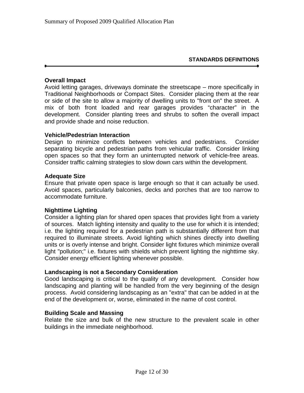## **Overall Impact**

Avoid letting garages, driveways dominate the streetscape – more specifically in Traditional Neighborhoods or Compact Sites. Consider placing them at the rear or side of the site to allow a majority of dwelling units to "front on" the street. A mix of both front loaded and rear garages provides "character" in the development. Consider planting trees and shrubs to soften the overall impact and provide shade and noise reduction.

#### **Vehicle/Pedestrian Interaction**

Design to minimize conflicts between vehicles and pedestrians. Consider separating bicycle and pedestrian paths from vehicular traffic. Consider linking open spaces so that they form an uninterrupted network of vehicle-free areas. Consider traffic calming strategies to slow down cars within the development.

#### **Adequate Size**

Ensure that private open space is large enough so that it can actually be used. Avoid spaces, particularly balconies, decks and porches that are too narrow to accommodate furniture.

#### **Nighttime Lighting**

Consider a lighting plan for shared open spaces that provides light from a variety of sources. Match lighting intensity and quality to the use for which it is intended; i.e. the lighting required for a pedestrian path is substantially different from that required to illuminate streets. Avoid lighting which shines directly into dwelling units or is overly intense and bright. Consider light fixtures which minimize overall light "pollution;" i.e. fixtures with shields which prevent lighting the nighttime sky. Consider energy efficient lighting whenever possible.

#### **Landscaping is not a Secondary Consideration**

Good landscaping is critical to the quality of any development. Consider how landscaping and planting will be handled from the very beginning of the design process. Avoid considering landscaping as an "extra" that can be added in at the end of the development or, worse, eliminated in the name of cost control.

#### **Building Scale and Massing**

Relate the size and bulk of the new structure to the prevalent scale in other buildings in the immediate neighborhood.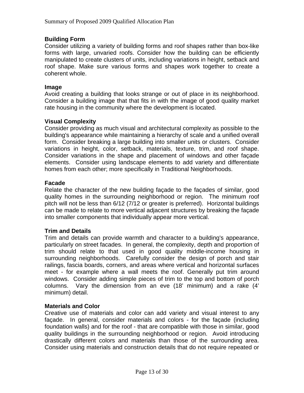## **Building Form**

Consider utilizing a variety of building forms and roof shapes rather than box-like forms with large, unvaried roofs. Consider how the building can be efficiently manipulated to create clusters of units, including variations in height, setback and roof shape. Make sure various forms and shapes work together to create a coherent whole.

#### **Image**

Avoid creating a building that looks strange or out of place in its neighborhood. Consider a building image that that fits in with the image of good quality market rate housing in the community where the development is located.

#### **Visual Complexity**

Consider providing as much visual and architectural complexity as possible to the building's appearance while maintaining a hierarchy of scale and a unified overall form. Consider breaking a large building into smaller units or clusters. Consider variations in height, color, setback, materials, texture, trim, and roof shape. Consider variations in the shape and placement of windows and other façade elements. Consider using landscape elements to add variety and differentiate homes from each other; more specifically in Traditional Neighborhoods.

#### **Facade**

Relate the character of the new building façade to the façades of similar, good quality homes in the surrounding neighborhood or region. The minimum roof pitch will not be less than 6/12 (7/12 or greater is preferred). Horizontal buildings can be made to relate to more vertical adjacent structures by breaking the façade into smaller components that individually appear more vertical.

#### **Trim and Details**

Trim and details can provide warmth and character to a building's appearance, particularly on street facades. In general, the complexity, depth and proportion of trim should relate to that used in good quality middle-income housing in surrounding neighborhoods. Carefully consider the design of porch and stair railings, fascia boards, corners, and areas where vertical and horizontal surfaces meet - for example where a wall meets the roof. Generally put trim around windows. Consider adding simple pieces of trim to the top and bottom of porch columns. Vary the dimension from an eve (18' minimum) and a rake (4' minimum) detail.

#### **Materials and Color**

Creative use of materials and color can add variety and visual interest to any façade. In general, consider materials and colors - for the façade (including foundation walls) and for the roof - that are compatible with those in similar, good quality buildings in the surrounding neighborhood or region. Avoid introducing drastically different colors and materials than those of the surrounding area. Consider using materials and construction details that do not require repeated or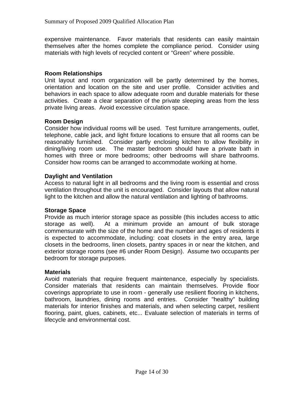expensive maintenance. Favor materials that residents can easily maintain themselves after the homes complete the compliance period. Consider using materials with high levels of recycled content or "Green" where possible.

## **Room Relationships**

Unit layout and room organization will be partly determined by the homes, orientation and location on the site and user profile. Consider activities and behaviors in each space to allow adequate room and durable materials for these activities. Create a clear separation of the private sleeping areas from the less private living areas. Avoid excessive circulation space.

## **Room Design**

Consider how individual rooms will be used. Test furniture arrangements, outlet, telephone, cable jack, and light fixture locations to ensure that all rooms can be reasonably furnished. Consider partly enclosing kitchen to allow flexibility in dining/living room use. The master bedroom should have a private bath in homes with three or more bedrooms; other bedrooms will share bathrooms. Consider how rooms can be arranged to accommodate working at home.

## **Daylight and Ventilation**

Access to natural light in all bedrooms and the living room is essential and cross ventilation throughout the unit is encouraged. Consider layouts that allow natural light to the kitchen and allow the natural ventilation and lighting of bathrooms.

#### **Storage Space**

Provide as much interior storage space as possible (this includes access to attic storage as well). At a minimum provide an amount of bulk storage commensurate with the size of the home and the number and ages of residents it is expected to accommodate, including: coat closets in the entry area, large closets in the bedrooms, linen closets, pantry spaces in or near the kitchen, and exterior storage rooms (see #6 under Room Design). Assume two occupants per bedroom for storage purposes.

#### **Materials**

Avoid materials that require frequent maintenance, especially by specialists. Consider materials that residents can maintain themselves. Provide floor coverings appropriate to use in room - generally use resilient flooring in kitchens, bathroom, laundries, dining rooms and entries. Consider "healthy" building materials for interior finishes and materials, and when selecting carpet, resilient flooring, paint, glues, cabinets, etc... Evaluate selection of materials in terms of lifecycle and environmental cost.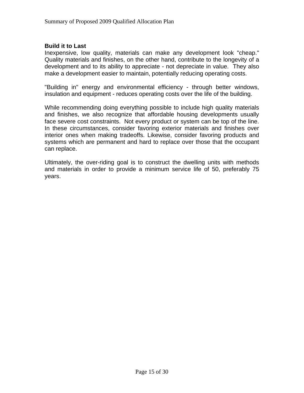#### **Build it to Last**

Inexpensive, low quality, materials can make any development look "cheap." Quality materials and finishes, on the other hand, contribute to the longevity of a development and to its ability to appreciate - not depreciate in value. They also make a development easier to maintain, potentially reducing operating costs.

"Building in" energy and environmental efficiency - through better windows, insulation and equipment - reduces operating costs over the life of the building.

While recommending doing everything possible to include high quality materials and finishes, we also recognize that affordable housing developments usually face severe cost constraints. Not every product or system can be top of the line. In these circumstances, consider favoring exterior materials and finishes over interior ones when making tradeoffs. Likewise, consider favoring products and systems which are permanent and hard to replace over those that the occupant can replace.

Ultimately, the over-riding goal is to construct the dwelling units with methods and materials in order to provide a minimum service life of 50, preferably 75 years.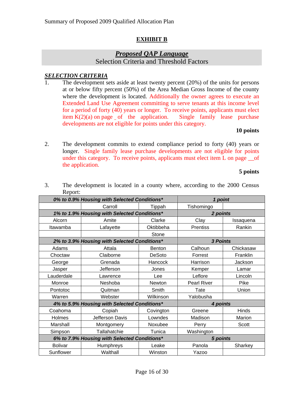## **EXHIBIT B**

# *Proposed QAP Language*

Selection Criteria and Threshold Factors

## *SELECTION CRITERIA*

The development sets aside at least twenty percent  $(20%)$  of the units for persons at or below fifty percent (50%) of the Area Median Gross Income of the county where the development is located. Additionally the owner agrees to execute an Extended Land Use Agreement committing to serve tenants at this income level for a period of forty (40) years or longer. To receive points, applicants must elect item  $K(2)(a)$  on page of the application. Single family lease purchase developments are not eligible for points under this category.

#### **10 points**

2. The development commits to extend compliance period to forty (40) years or longer. Single family lease purchase developments are not eligible for points under this category. To receive points, applicants must elect item L on page  $\_\_$ of the application.

#### **5 points**

| INGPULL.                                     |                 |               |                    |           |
|----------------------------------------------|-----------------|---------------|--------------------|-----------|
| 0% to 0.9% Housing with Selected Conditions* |                 |               | 1 point            |           |
|                                              | Carroll         | Tippah        | Tishomingo         |           |
| 1% to 1.9% Housing with Selected Conditions* |                 |               | 2 points           |           |
| Alcorn                                       | Amite           | Clarke        | Clay               | Issaquena |
| Itawamba                                     | Lafayette       | Oktibbeha     | <b>Prentiss</b>    | Rankin    |
|                                              |                 | Stone         |                    |           |
| 2% to 3.9% Housing with Selected Conditions* |                 |               | <b>3 Points</b>    |           |
| Adams                                        | Attala          | <b>Benton</b> | Calhoun            | Chickasaw |
| Choctaw                                      | Claiborne       | <b>DeSoto</b> | Forrest            | Franklin  |
| George                                       | Grenada         | Hancock       | Harrison           | Jackson   |
| Jasper                                       | Jefferson       | Jones         | Kemper             | Lamar     |
| Lauderdale                                   | Lawrence        | Lee           | Leflore            | Lincoln   |
| Monroe                                       | Neshoba         | <b>Newton</b> | <b>Pearl River</b> | Pike      |
| Pontotoc                                     | Quitman         | Smith         | Tate               | Union     |
| Warren                                       | Webster         | Wilkinson     | Yalobusha          |           |
| 4% to 5.9% Housing with Selected Conditions* |                 |               | 4 points           |           |
| Coahoma                                      | Copiah          | Covington     | Greene             | Hinds     |
| Holmes                                       | Jefferson Davis | Lowndes       | Madison            | Marion    |
| Marshall                                     | Montgomery      | Noxubee       | Perry              | Scott     |
| Simpson                                      | Tallahatchie    | Tunica        | Washington         |           |
| 6% to 7.9% Housing with Selected Conditions* |                 |               | 5 points           |           |
| <b>Bolivar</b>                               | Humphreys       | Leake         | Panola             | Sharkey   |
| Sunflower                                    | Walthall        | Winston       | Yazoo              |           |

3. The development is located in a county where, according to the 2000 Census  $\mathbf{R}_{\mathbf{P}}$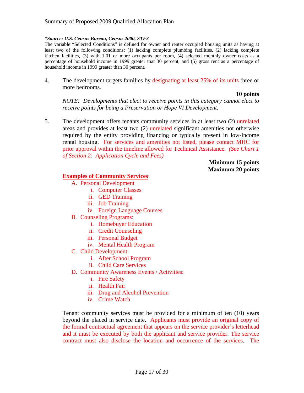#### *\*Source: U.S. Census Bureau, Census 2000, STF3*

The variable "Selected Conditions" is defined for owner and renter occupied housing units as having at least two of the following conditions: (1) lacking complete plumbing facilities, (2) lacking complete kitchen facilities, (3) with 1.01 or more occupants per room, (4) selected monthly owner costs as a percentage of household income in 1999 greater that 30 percent, and (5) gross rent as a percentage of household income in 1999 greater than 30 percent.

4. The development targets families by designating at least 25% of its units three or more bedrooms.

#### **10 points**

*NOTE: Developments that elect to receive points in this category cannot elect to receive points for being a Preservation or Hope VI Development.* 

5. The development offers tenants community services in at least two (2) unrelated areas and provides at least two (2) unrelated significant amenities not otherwise required by the entity providing financing or typically present in low-income rental housing. For services and amenities not listed, please contact MHC for prior approval within the timeline allowed for Technical Assistance. *(See Chart 1 of Section 2: Application Cycle and Fees)*

> **Minimum 15 points Maximum 20 points**

#### **Examples of Community Services**:

- A. Personal Development
	- i. Computer Classes
	- ii. GED Training
	- iii. Job Training
	- iv. Foreign Language Courses
- B. Counseling Programs:
	- i. Homebuyer Education
	- ii. Credit Counseling
	- iii. Personal Budget
	- iv. Mental Health Program
- C. Child Development:
	- i. After School Program
	- ii. Child Care Services
- D. Community Awareness Events / Activities:
	- i. Fire Safety
	- ii. Health Fair
	- iii. Drug and Alcohol Prevention
	- iv. Crime Watch

Tenant community services must be provided for a minimum of ten (10) years beyond the placed in service date. Applicants must provide an original copy of the formal contractual agreement that appears on the service provider's letterhead and it must be executed by both the applicant and service provider. The service contract must also disclose the location and occurrence of the services. The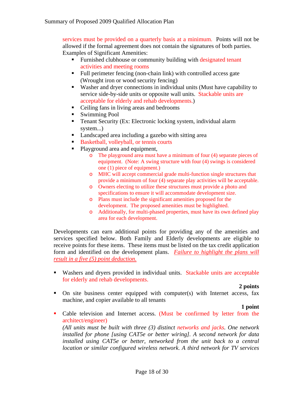services must be provided on a quarterly basis at a minimum. Points will not be allowed if the formal agreement does not contain the signatures of both parties. Examples of Significant Amenities:

- Furnished clubhouse or community building with designated tenant activities and meeting rooms
- Full perimeter fencing (non-chain link) with controlled access gate (Wrought iron or wood security fencing)
- Washer and dryer connections in individual units (Must have capability to service side-by-side units or opposite wall units. Stackable units are acceptable for elderly and rehab developments.)
- Ceiling fans in living areas and bedrooms
- Swimming Pool
- Tenant Security (Ex: Electronic locking system, individual alarm system...)
- Landscaped area including a gazebo with sitting area
- Basketball, volleyball, or tennis courts
- Playground area and equipment,
	- o The playground area must have a minimum of four (4) separate pieces of equipment. (Note: A swing structure with four (4) swings is considered one (1) piece of equipment.)
	- o MHC will accept commercial grade multi-function single structures that provide a minimum of four (4) separate play activities will be acceptable.
	- o Owners electing to utilize these structures must provide a photo and specifications to ensure it will accommodate development size.
	- o Plans must include the significant amenities proposed for the development. The proposed amenities must be highlighted.
	- o Additionally, for multi-phased properties, must have its own defined play area for each development.

Developments can earn additional points for providing any of the amenities and services specified below. Both Family and Elderly developments are eligible to receive points for these items. These items must be listed on the tax credit application form and identified on the development plans. *Failure to highlight the plans will result in a five (5) point deduction.*

 Washers and dryers provided in individual units. Stackable units are acceptable for elderly and rehab developments.

#### **2 points**

• On site business center equipped with computer(s) with Internet access, fax machine, and copier available to all tenants

#### **1 point**

• Cable television and Internet access. (Must be confirmed by letter from the architect/engineer)

*(All units must be built with three (3) distinct networks and jacks. One network installed for phone [using CAT5e or better wiring]. A second network for data installed using CAT5e or better, networked from the unit back to a central location or similar configured wireless network. A third network for TV services*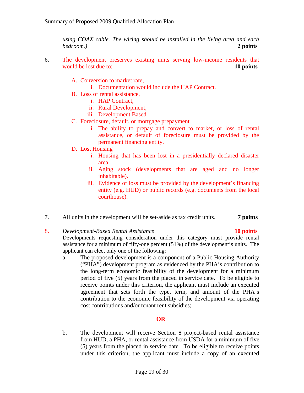*using COAX cable. The wiring should be installed in the living area and each bedroom.)* **2 points** 

- 6. The development preserves existing units serving low-income residents that would be lost due to: **10 points**
	- A. Conversion to market rate,
		- i. Documentation would include the HAP Contract.
	- B. Loss of rental assistance,
		- i. HAP Contract,
		- ii. Rural Development,
		- iii. Development Based
	- C. Foreclosure, default, or mortgage prepayment
		- i. The ability to prepay and convert to market, or loss of rental assistance, or default of foreclosure must be provided by the permanent financing entity.
	- D. Lost Housing
		- i. Housing that has been lost in a presidentially declared disaster area.
		- ii. Aging stock (developments that are aged and no longer inhabitable).
		- iii. Evidence of loss must be provided by the development's financing entity (e.g. HUD) or public records (e.g. documents from the local courthouse).
- 7. All units in the development will be set-aside as tax credit units. **7 points**

#### 8. *Development-Based Rental Assistance* **10 points**

Developments requesting consideration under this category must provide rental assistance for a minimum of fifty-one percent (51%) of the development's units. The applicant can elect only one of the following:

a. The proposed development is a component of a Public Housing Authority ("PHA") development program as evidenced by the PHA's contribution to the long-term economic feasibility of the development for a minimum period of five (5) years from the placed in service date. To be eligible to receive points under this criterion, the applicant must include an executed agreement that sets forth the type, term, and amount of the PHA's contribution to the economic feasibility of the development via operating cost contributions and/or tenant rent subsidies;

#### **OR**

b. The development will receive Section 8 project-based rental assistance from HUD, a PHA, or rental assistance from USDA for a minimum of five (5) years from the placed in service date. To be eligible to receive points under this criterion, the applicant must include a copy of an executed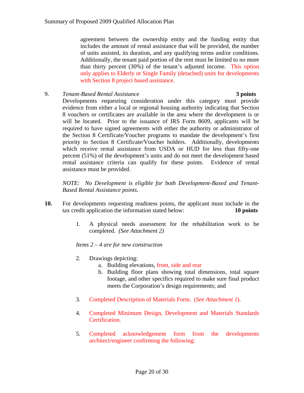agreement between the ownership entity and the funding entity that includes the amount of rental assistance that will be provided, the number of units assisted, its duration, and any qualifying terms and/or conditions. Additionally, the tenant paid portion of the rent must be limited to no more than thirty percent (30%) of the tenant's adjusted income. This option only applies to Elderly or Single Family (detached) units for developments with Section 8 project based assistance.

9. *Tenant-Based Rental Assistance* **3 points**

Developments requesting consideration under this category must provide evidence from either a local or regional housing authority indicating that Section 8 vouchers or certificates are available in the area where the development is or will be located. Prior to the issuance of IRS Form 8609, applicants will be required to have signed agreements with either the authority or administrator of the Section 8 Certificate/Voucher programs to mandate the development's first priority to Section 8 Certificate/Voucher holders. Additionally, developments which receive rental assistance from USDA or HUD for less than fifty-one percent (51%) of the development's units and do not meet the development based rental assistance criteria can qualify for these points. Evidence of rental assistance must be provided.

*NOTE: No Development is eligible for both Development-Based and Tenant-Based Rental Assistance points.* 

- **10.** For developments requesting readiness points, the applicant must include in the tax credit application the information stated below: **10 points** 
	- 1. A physical needs assessment for the rehabilitation work to be completed. *(See Attachment 2)*

*Items 2 – 4 are for new construction* 

- 2. Drawings depicting:
	- a. Building elevations, front, side and rear
	- b. Building floor plans showing total dimensions, total square footage, and other specifics required to make sure final product meets the Corporation's design requirements; and
- 3. Completed Description of Materials Form. (*See Attachment 1*).
- 4. Completed Minimum Design, Development and Materials Standards Certification.
- 5. Completed acknowledgement form from the developments architect/engineer confirming the following: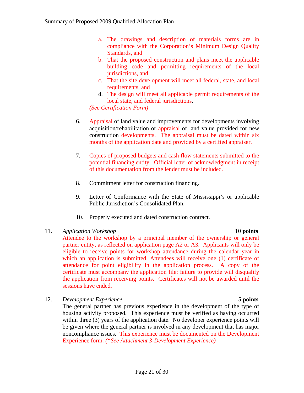- a. The drawings and description of materials forms are in compliance with the Corporation's Minimum Design Quality Standards, and
- b. That the proposed construction and plans meet the applicable building code and permitting requirements of the local jurisdictions, and
- c. That the site development will meet all federal, state, and local requirements, and
- d. The design will meet all applicable permit requirements of the local state, and federal jurisdictions.

*(See Certification Form)*

- 6. Appraisal of land value and improvements for developments involving acquisition/rehabilitation or appraisal of land value provided for new construction developments. The appraisal must be dated within six months of the application date and provided by a certified appraiser.
- 7. Copies of proposed budgets and cash flow statements submitted to the potential financing entity. Official letter of acknowledgment in receipt of this documentation from the lender must be included.
- 8. Commitment letter for construction financing.
- 9. Letter of Conformance with the State of Mississippi's or applicable Public Jurisdiction's Consolidated Plan.
- 10. Properly executed and dated construction contract.

## 11. *Application Workshop* **10 points**

Attendee to the workshop by a principal member of the ownership or general partner entity, as reflected on application page A2 or A3. Applicants will only be eligible to receive points for workshop attendance during the calendar year in which an application is submitted. Attendees will receive one (1) certificate of attendance for point eligibility in the application process. A copy of the certificate must accompany the application file; failure to provide will disqualify the application from receiving points. Certificates will not be awarded until the sessions have ended.

12. *Development Experience* **5 points** 

The general partner has previous experience in the development of the type of housing activity proposed. This experience must be verified as having occurred within three (3) years of the application date. No developer experience points will be given where the general partner is involved in any development that has major noncompliance issues. This experience must be documented on the Development Experience form. *("See Attachment 3-Development Experience)*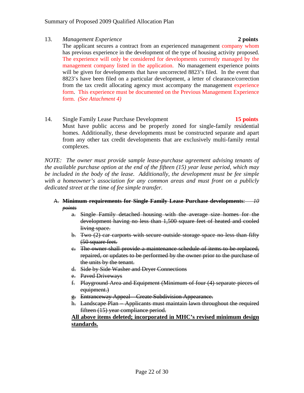#### 13. *Management Experience* **2 points**

The applicant secures a contract from an experienced management company whom has previous experience in the development of the type of housing activity proposed. The experience will only be considered for developments currently managed by the management company listed in the application. No management experience points will be given for developments that have uncorrected 8823's filed. In the event that 8823's have been filed on a particular development, a letter of clearance/correction from the tax credit allocating agency must accompany the management experience form. This experience must be documented on the Previous Management Experience form. *(See Attachment 4)*

14. Single Family Lease Purchase Development **15 points** Must have public access and be properly zoned for single-family residential homes. Additionally, these developments must be constructed separate and apart from any other tax credit developments that are exclusively multi-family rental complexes.

*NOTE: The owner must provide sample lease-purchase agreement advising tenants of the available purchase option at the end of the fifteen (15) year lease period, which may be included in the body of the lease. Additionally, the development must be fee simple with a homeowner's association for any common areas and must front on a publicly dedicated street at the time of fee simple transfer.* 

#### A. **Minimum requirements for Single Family Lease Purchase developments**: *10 points*

- a. Single Family detached housing with the average size homes for the development having no less than 1,500 square feet of heated and cooled living space.
- b. Two (2) car carports with secure outside storage space no less than fifty (50 square feet.
- c. The owner shall provide a maintenance schedule of items to be replaced, repaired, or updates to be performed by the owner prior to the purchase of the units by the tenant.
- d. Side by Side Washer and Dryer Connections
- e. Paved Driveways
- f. Playground Area and Equipment (Minimum of four (4) separate pieces of equipment.)
- g. Entranceway Appeal Create Subdivision Appearance.
- h. Landscape Plan Applicants must maintain lawn throughout the required fifteen (15) year compliance period.

**All above items deleted; incorporated in MHC's revised minimum design standards.**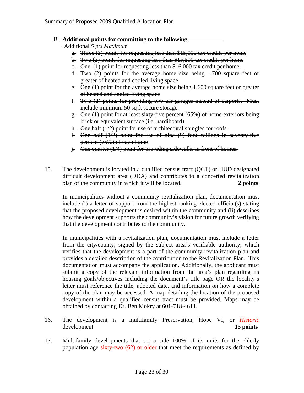B. **Additional points for committing to the following**:

Additional *5 pts Maximum*

- a. Three (3) points for requesting less than \$15,000 tax credits per home
- b. Two (2) points for requesting less than \$15,500 tax credits per home
- c. One (1) point for requesting less than \$16,000 tax credit per home
- d. Two (2) points for the average home size being 1,700 square feet or greater of heated and cooled living space
- e. One (1) point for the average home size being 1,600 square feet or greater of heated and cooled living space
- f. Two (2) points for providing two car garages instead of carports. Must include minimum 50 sq ft secure storage.
- g. One (1) point for at least sixty-five percent (65%) of home exteriors being brick or equivalent surface (i.e. hardiboard)
- h. One half (1/2) point for use of architectural shingles for roofs
- i. One half (1/2) point for use of nine (9) foot ceilings in seventy-five percent (75%) of each home
- $\frac{1}{2}$ . One quarter (1/4) point for providing sidewalks in front of homes.
- 15. The development is located in a qualified census tract (QCT) or HUD designated difficult development area (DDA) and contributes to a concerted revitalization plan of the community in which it will be located. **2 points**

In municipalities without a community revitalization plan, documentation must include (i) a letter of support from the highest ranking elected official(s) stating that the proposed development is desired within the community and (ii) describes how the development supports the community's vision for future growth verifying that the development contributes to the community.

In municipalities with a revitalization plan, documentation must include a letter from the city/county, signed by the subject area's verifiable authority, which verifies that the development is a part of the community revitalization plan and provides a detailed description of the contribution to the Revitalization Plan. This documentation must accompany the application. Additionally, the applicant must submit a copy of the relevant information from the area's plan regarding its housing goals/objectives including the document's title page OR the locality's letter must reference the title, adopted date, and information on how a complete copy of the plan may be accessed. A map detailing the location of the proposed development within a qualified census tract must be provided. Maps may be obtained by contacting Dr. Ben Mokry at 601-718-4611.

- 16. The development is a multifamily Preservation, Hope VI, or *Historic* development. **15 points**
- 17. Multifamily developments that set a side 100% of its units for the elderly population age sixty-two (62) or older that meet the requirements as defined by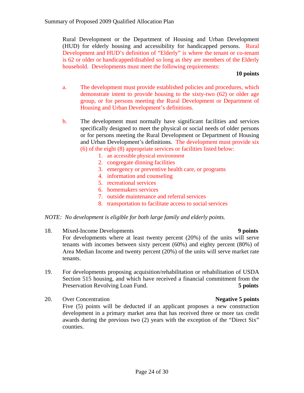Rural Development or the Department of Housing and Urban Development (HUD) for elderly housing and accessibility for handicapped persons. Rural Development and HUD's definition of "Elderly" is where the tenant or co-tenant is 62 or older or handicapped/disabled so long as they are members of the Elderly household. Developments must meet the following requirements:

#### **10 points**

- a. The development must provide established policies and procedures, which demonstrate intent to provide housing to the sixty-two (62) or older age group, or for persons meeting the Rural Development or Department of Housing and Urban Development's definitions.
- b. The development must normally have significant facilities and services specifically designed to meet the physical or social needs of older persons or for persons meeting the Rural Development or Department of Housing and Urban Development's definitions. The development must provide six (6) of the eight (8) appropriate services or facilities listed below:
	- 1. an accessible physical environment
	- 2. congregate dinning facilities
	- 3. emergency or preventive health care, or programs
	- 4. information and counseling
	- 5. recreational services
	- 6. homemakers services
	- 7. outside maintenance and referral services
	- 8. transportation to facilitate access to social services

#### *NOTE: No development is eligible for both large family and elderly points.*

18. Mixed-Income Developments **9 points** 

For developments where at least twenty percent (20%) of the units will serve tenants with incomes between sixty percent (60%) and eighty percent (80%) of Area Median Income and twenty percent (20%) of the units will serve market rate tenants.

- 19. For developments proposing acquisition/rehabilitation or rehabilitation of USDA Section 515 housing, and which have received a financial commitment from the Preservation Revolving Loan Fund. **5 points**
- 20. Over Concentration **Negative 5 points** Five (5) points will be deducted if an applicant proposes a new construction development in a primary market area that has received three or more tax credit awards during the previous two (2) years with the exception of the "Direct Six" counties.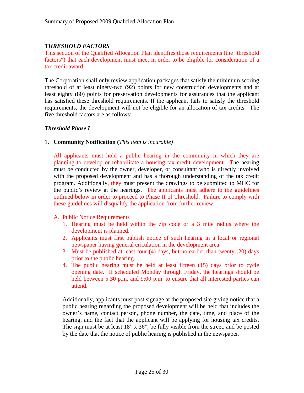## *THRESHOLD FACTORS*

This section of the Qualified Allocation Plan identifies those requirements (the "threshold factors") that each development must meet in order to be eligible for consideration of a tax credit award.

The Corporation shall only review application packages that satisfy the minimum scoring threshold of at least ninety-two (92) points for new construction developments and at least eighty (80) points for preservation developments for assurances that the applicant has satisfied these threshold requirements. If the applicant fails to satisfy the threshold requirements, the development will not be eligible for an allocation of tax credits. The five threshold factors are as follows:

#### *Threshold Phase I*

1. **Community Notification (***This item is incurable)*

All applicants must hold a public hearing in the community in which they are planning to develop or rehabilitate a housing tax credit development. The hearing must be conducted by the owner, developer, or consultant who is directly involved with the proposed development and has a thorough understanding of the tax credit program. Additionally, they must present the drawings to be submitted to MHC for the public's review at the hearings. The applicants must adhere to the guidelines outlined below in order to proceed to Phase II of Threshold. Failure to comply with these guidelines will disqualify the application from further review.

#### A. Public Notice Requirements

- 1. Hearing must be held within the zip code or a 3 mile radius where the development is planned.
- 2. Applicants must first publish notice of such hearing in a local or regional newspaper having general circulation in the development area.
- 3. Must be published at least four (4) days, but no earlier than twenty (20) days prior to the public hearing.
- 4. The public hearing must be held at least fifteen (15) days prior to cycle opening date. If scheduled Monday through Friday, the hearings should be held between 5:30 p.m. and 9:00 p.m. to ensure that all interested parties can attend.

Additionally, applicants must post signage at the proposed site giving notice that a public hearing regarding the proposed development will be held that includes the owner's name, contact person, phone number, the date, time, and place of the hearing, and the fact that the applicant will be applying for housing tax credits. The sign must be at least 18" x 36", be fully visible from the street, and be posted by the date that the notice of public hearing is published in the newspaper.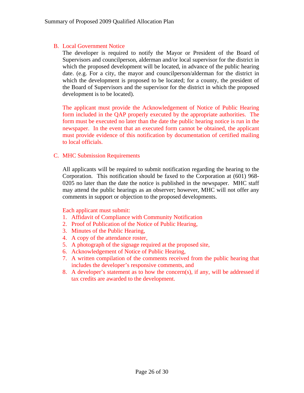#### B. Local Government Notice

The developer is required to notify the Mayor or President of the Board of Supervisors and councilperson, alderman and/or local supervisor for the district in which the proposed development will be located, in advance of the public hearing date. (e.g. For a city, the mayor and councilperson/alderman for the district in which the development is proposed to be located; for a county, the president of the Board of Supervisors and the supervisor for the district in which the proposed development is to be located).

The applicant must provide the Acknowledgement of Notice of Public Hearing form included in the QAP properly executed by the appropriate authorities. The form must be executed no later than the date the public hearing notice is run in the newspaper. In the event that an executed form cannot be obtained, the applicant must provide evidence of this notification by documentation of certified mailing to local officials.

#### C. MHC Submission Requirements

All applicants will be required to submit notification regarding the hearing to the Corporation. This notification should be faxed to the Corporation at (601) 968- 0205 no later than the date the notice is published in the newspaper. MHC staff may attend the public hearings as an observer; however, MHC will not offer any comments in support or objection to the proposed developments.

#### Each applicant must submit:

- 1. Affidavit of Compliance with Community Notification
- 2. Proof of Publication of the Notice of Public Hearing,
- 3. Minutes of the Public Hearing,
- 4. A copy of the attendance roster,
- 5. A photograph of the signage required at the proposed site,
- 6. Acknowledgement of Notice of Public Hearing,
- 7. A written compilation of the comments received from the public hearing that includes the developer's responsive comments, and
- 8. A developer's statement as to how the concern(s), if any, will be addressed if tax credits are awarded to the development.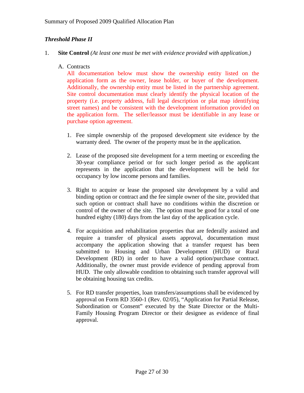## *Threshold Phase II*

- 1. **Site Control** *(At least one must be met with evidence provided with application.)*
	- A. Contracts

All documentation below must show the ownership entity listed on the application form as the owner, lease holder, or buyer of the development. Additionally, the ownership entity must be listed in the partnership agreement. Site control documentation must clearly identify the physical location of the property (i.e. property address, full legal description or plat map identifying street names) and be consistent with the development information provided on the application form. The seller/leassor must be identifiable in any lease or purchase option agreement.

- 1. Fee simple ownership of the proposed development site evidence by the warranty deed. The owner of the property must be in the application.
- 2. Lease of the proposed site development for a term meeting or exceeding the 30-year compliance period or for such longer period as the applicant represents in the application that the development will be held for occupancy by low income persons and families.
- 3. Right to acquire or lease the proposed site development by a valid and binding option or contract and the fee simple owner of the site, provided that such option or contract shall have no conditions within the discretion or control of the owner of the site. The option must be good for a total of one hundred eighty (180) days from the last day of the application cycle.
- 4. For acquisition and rehabilitation properties that are federally assisted and require a transfer of physical assets approval, documentation must accompany the application showing that a transfer request has been submitted to Housing and Urban Development (HUD) or Rural Development (RD) in order to have a valid option/purchase contract. Additionally, the owner must provide evidence of pending approval from HUD. The only allowable condition to obtaining such transfer approval will be obtaining housing tax credits.
- 5. For RD transfer properties, loan transfers/assumptions shall be evidenced by approval on Form RD 3560-1 (Rev. 02/05), "Application for Partial Release, Subordination or Consent" executed by the State Director or the Multi-Family Housing Program Director or their designee as evidence of final approval.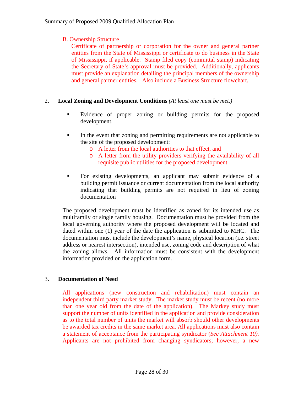## B. Ownership Structure

Certificate of partnership or corporation for the owner and general partner entities from the State of Mississippi or certificate to do business in the State of Mississippi, if applicable. Stamp filed copy (committal stamp) indicating the Secretary of State's approval must be provided. Additionally, applicants must provide an explanation detailing the principal members of the ownership and general partner entities. Also include a Business Structure flowchart.

#### 2. **Local Zoning and Development Conditions** *(At least one must be met.)*

- Evidence of proper zoning or building permits for the proposed development.
- In the event that zoning and permitting requirements are not applicable to the site of the proposed development:
	- o A letter from the local authorities to that effect, and
	- o A letter from the utility providers verifying the availability of all requisite public utilities for the proposed development.
- For existing developments, an applicant may submit evidence of a building permit issuance or current documentation from the local authority indicating that building permits are not required in lieu of zoning documentation

The proposed development must be identified as zoned for its intended use as multifamily or single family housing. Documentation must be provided from the local governing authority where the proposed development will be located and dated within one (1) year of the date the application is submitted to MHC. The documentation must include the development's name, physical location (i.e. street address or nearest intersection), intended use, zoning code and description of what the zoning allows. All information must be consistent with the development information provided on the application form.

#### 3. **Documentation of Need**

All applications (new construction and rehabilitation) must contain an independent third party market study. The market study must be recent (no more than one year old from the date of the application). The Markey study must support the number of units identified in the application and provide consideration as to the total number of units the market will absorb should other developments be awarded tax credits in the same market area. All applications must also contain a statement of acceptance from the participating syndicator (*See Attachment 10).*  Applicants are not prohibited from changing syndicators; however, a new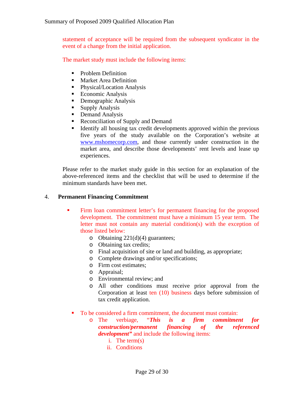statement of acceptance will be required from the subsequent syndicator in the event of a change from the initial application.

The market study must include the following items:

- Problem Definition
- **Market Area Definition**
- **Physical/Location Analysis**
- Economic Analysis
- **•** Demographic Analysis
- Supply Analysis
- Demand Analysis
- Reconciliation of Supply and Demand
- Identify all housing tax credit developments approved within the previous five years of the study available on the Corporation's website at [www.mshomecorp.com,](http://www.mshomecorp.com/) and those currently under construction in the market area, and describe those developments' rent levels and lease up experiences.

Please refer to the market study guide in this section for an explanation of the above-referenced items and the checklist that will be used to determine if the minimum standards have been met.

#### 4. **Permanent Financing Commitment**

- Firm loan commitment letter's for permanent financing for the proposed development. The commitment must have a minimum 15 year term. The letter must not contain any material condition(s) with the exception of those listed below:
	- o Obtaining  $221(d)(4)$  guarantees;
	- o Obtaining tax credits;
	- o Final acquisition of site or land and building, as appropriate;
	- o Complete drawings and/or specifications;
	- o Firm cost estimates;
	- o Appraisal;
	- o Environmental review; and
	- o All other conditions must receive prior approval from the Corporation at least ten (10) business days before submission of tax credit application.
	- To be considered a firm commitment, the document must contain:
		- o The verbiage, "*This is a firm commitment for construction/permanent financing of the referenced development"* and include the following items:
			- i. The term(s)
			- ii. Conditions